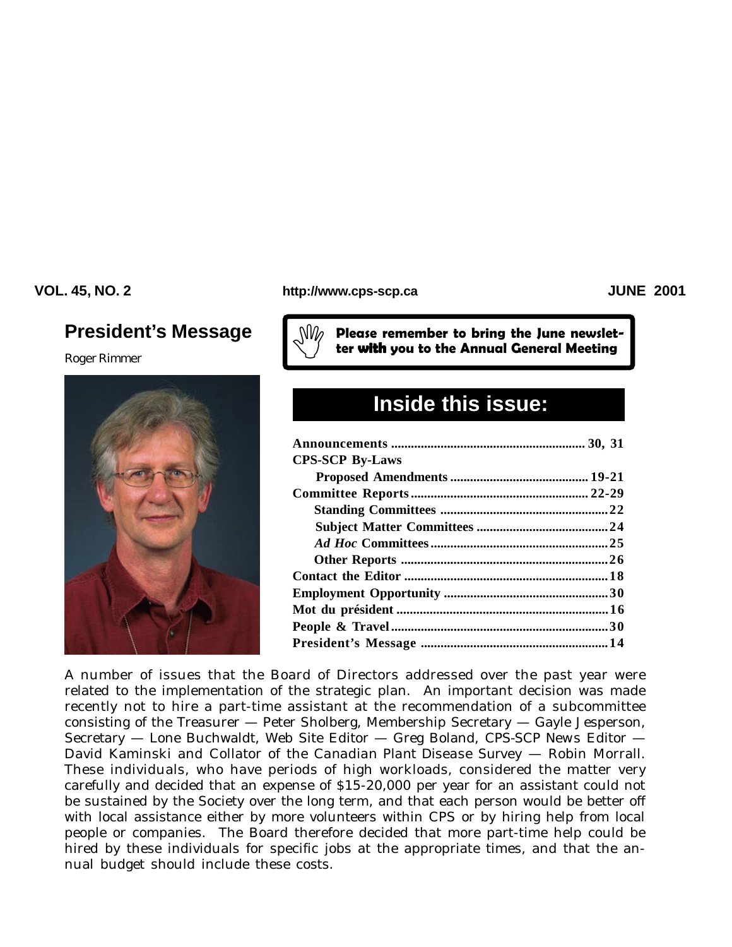# **President's Message**

*Roger Rimmer*



#### **VOL. 45, NO. 2 JUNE 2001 http://www.cps-scp.ca**

Please remember to bring the June newslet-<br>ter **with** you to the Annual General Meeting

# **Inside this issue:**

| <b>CPS-SCP By-Laws</b> |  |
|------------------------|--|
|                        |  |
|                        |  |
|                        |  |
|                        |  |
|                        |  |
|                        |  |
|                        |  |
|                        |  |
|                        |  |
|                        |  |
|                        |  |
|                        |  |

A number of issues that the Board of Directors addressed over the past year were related to the implementation of the strategic plan. An important decision was made recently not to hire a part-time assistant at the recommendation of a subcommittee consisting of the Treasurer — Peter Sholberg, Membership Secretary — Gayle Jesperson, Secretary — Lone Buchwaldt, Web Site Editor — Greg Boland, *CPS-SCP News* Editor — David Kaminski and Collator of the *Canadian Plant Disease Survey* — Robin Morrall. These individuals, who have periods of high workloads, considered the matter very carefully and decided that an expense of \$15-20,000 per year for an assistant could not be sustained by the Society over the long term, and that each person would be better off with local assistance either by more volunteers within CPS or by hiring help from local people or companies. The Board therefore decided that more part-time help could be hired by these individuals for specific jobs at the appropriate times, and that the annual budget should include these costs.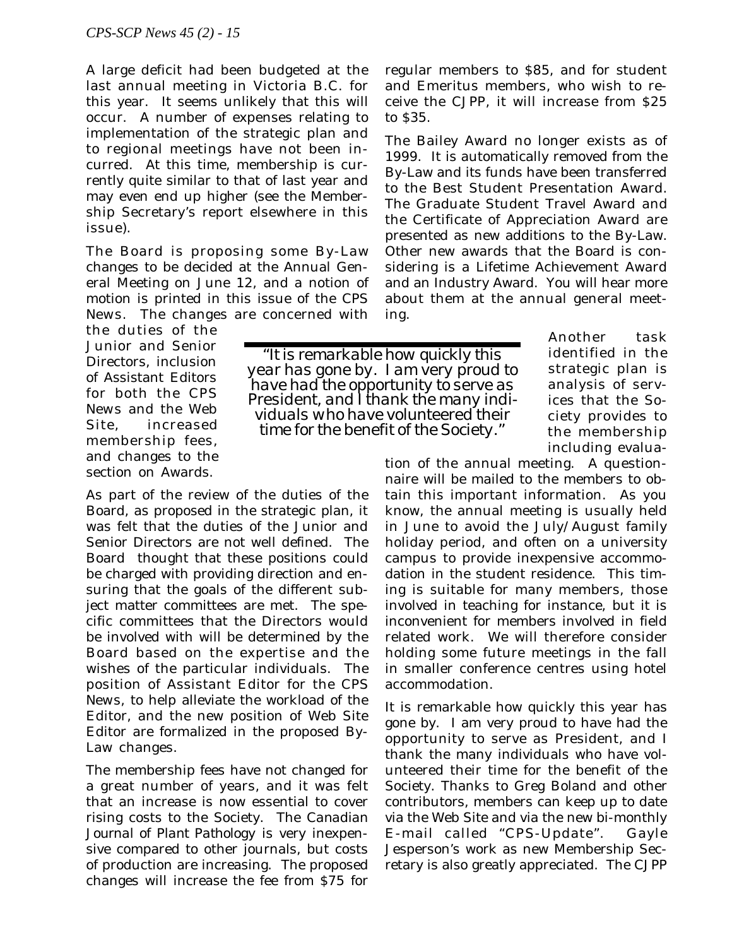A large deficit had been budgeted at the last annual meeting in Victoria B.C. for this year. It seems unlikely that this will occur. A number of expenses relating to implementation of the strategic plan and to regional meetings have not been incurred. At this time, membership is currently quite similar to that of last year and may even end up higher (see the Membership Secretary's report elsewhere in this issue).

The Board is proposing some By-Law changes to be decided at the Annual General Meeting on June 12, and a notion of motion is printed in this issue of the *CPS News*. The changes are concerned with

the duties of the Junior and Senior Directors, inclusion of Assistant Editors for both the *CPS News* and the Web Site, increased membership fees, and changes to the section on Awards.

As part of the review of the duties of the Board, as proposed in the strategic plan, it was felt that the duties of the Junior and Senior Directors are not well defined. The Board thought that these positions could be charged with providing direction and ensuring that the goals of the different subject matter committees are met. The specific committees that the Directors would be involved with will be determined by the Board based on the expertise and the wishes of the particular individuals. The position of Assistant Editor for the *CPS News*, to help alleviate the workload of the Editor, and the new position of Web Site Editor are formalized in the proposed By-Law changes.

The membership fees have not changed for a great number of years, and it was felt that an increase is now essential to cover rising costs to the Society. The *Canadian Journal of Plant Pathology* is very inexpensive compared to other journals, but costs of production are increasing. The proposed changes will increase the fee from \$75 for

regular members to \$85, and for student and Emeritus members, who wish to receive the *CJPP*, it will increase from \$25 to \$35.

The Bailey Award no longer exists as of 1999. It is automatically removed from the By-Law and its funds have been transferred to the Best Student Presentation Award. The Graduate Student Travel Award and the Certificate of Appreciation Award are presented as new additions to the By-Law. Other new awards that the Board is considering is a Lifetime Achievement Award and an Industry Award. You will hear more about them at the annual general meeting.

*"It is remarkable how quickly this year has gone by. I am very proud to have had the opportunity to serve as President, and I thank the many individuals who have volunteered their time for the benefit of the Society."*

Another task identified in the strategic plan is analysis of services that the Society provides to the membership including evalua-

tion of the annual meeting. A questionnaire will be mailed to the members to obtain this important information. As you know, the annual meeting is usually held in June to avoid the July/August family holiday period, and often on a university campus to provide inexpensive accommodation in the student residence. This timing is suitable for many members, those involved in teaching for instance, but it is inconvenient for members involved in field related work. We will therefore consider holding some future meetings in the fall in smaller conference centres using hotel accommodation.

It is remarkable how quickly this year has gone by. I am very proud to have had the opportunity to serve as President, and I thank the many individuals who have volunteered their time for the benefit of the Society. Thanks to Greg Boland and other contributors, members can keep up to date via the Web Site and via the new bi-monthly E-mail called "CPS-Update". Gayle Jesperson's work as new Membership Secretary is also greatly appreciated. The *CJPP*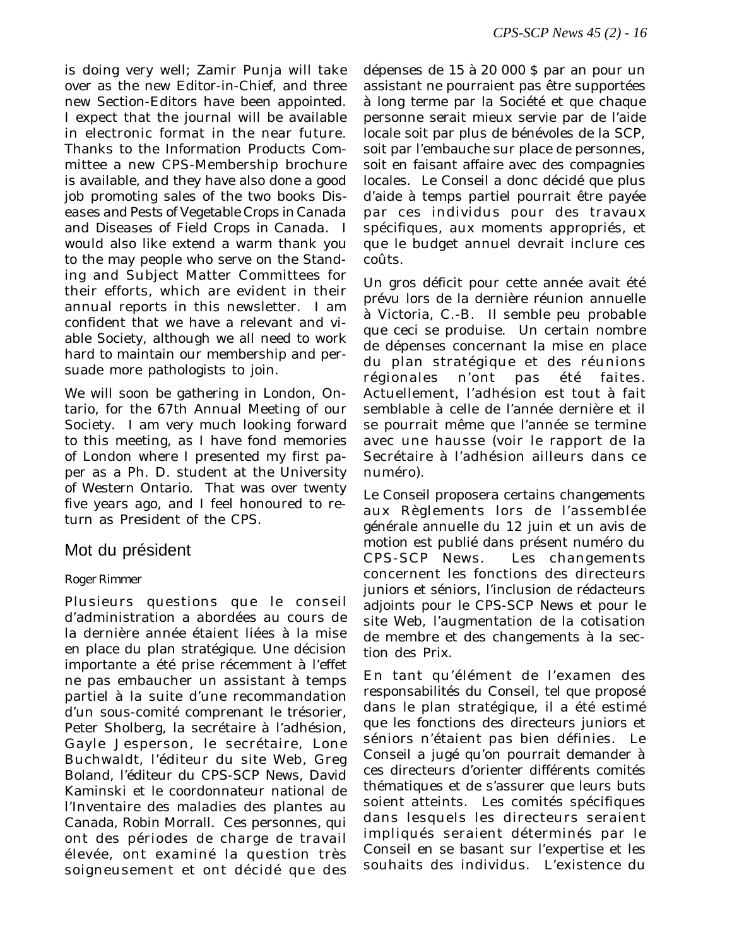is doing very well; Zamir Punja will take over as the new Editor-in-Chief, and three new Section-Editors have been appointed. I expect that the journal will be available in electronic format in the near future. Thanks to the Information Products Committee a new CPS-Membership brochure is available, and they have also done a good job promoting sales of the two books *Diseases and Pests of Vegetable Crops in Canada* and *Diseases of Field Crops in Canada*. I would also like extend a warm thank you to the may people who serve on the Standing and Subject Matter Committees for their efforts, which are evident in their annual reports in this newsletter. I am confident that we have a relevant and viable Society, although we all need to work hard to maintain our membership and persuade more pathologists to join.

We will soon be gathering in London, Ontario, for the 67th Annual Meeting of our Society. I am very much looking forward to this meeting, as I have fond memories of London where I presented my first paper as a Ph. D. student at the University of Western Ontario. That was over twenty five years ago, and I feel honoured to return as President of the CPS.

## Mot du président

#### *Roger Rimmer*

Plusieurs questions que le conseil d'administration a abordées au cours de la dernière année étaient liées à la mise en place du plan stratégique. Une décision importante a été prise récemment à l'effet ne pas embaucher un assistant à temps partiel à la suite d'une recommandation d'un sous-comité comprenant le trésorier, Peter Sholberg, la secrétaire à l'adhésion, Gayle Jesperson, le secrétaire, Lone Buchwaldt, l'éditeur du site Web, Greg Boland, l'éditeur du CPS-SCP News, David Kaminski et le coordonnateur national de l'Inventaire des maladies des plantes au Canada, Robin Morrall. Ces personnes, qui ont des périodes de charge de travail élevée, ont examiné la question très soigneusement et ont décidé que des dépenses de 15 à 20 000 \$ par an pour un assistant ne pourraient pas être supportées à long terme par la Société et que chaque personne serait mieux servie par de l'aide locale soit par plus de bénévoles de la SCP, soit par l'embauche sur place de personnes, soit en faisant affaire avec des compagnies locales. Le Conseil a donc décidé que plus d'aide à temps partiel pourrait être payée par ces individus pour des travaux spécifiques, aux moments appropriés, et que le budget annuel devrait inclure ces coûts.

Un gros déficit pour cette année avait été prévu lors de la dernière réunion annuelle à Victoria, C.-B. Il semble peu probable que ceci se produise. Un certain nombre de dépenses concernant la mise en place du plan stratégique et des réunions régionales n'ont pas été faites. Actuellement, l'adhésion est tout à fait semblable à celle de l'année dernière et il se pourrait même que l'année se termine avec une hausse (voir le rapport de la Secrétaire à l'adhésion ailleurs dans ce numéro).

Le Conseil proposera certains changements aux Règlements lors de l'assemblée générale annuelle du 12 juin et un avis de motion est publié dans présent numéro du CPS-SCP News. Les changements concernent les fonctions des directeurs juniors et séniors, l'inclusion de rédacteurs adjoints pour le CPS-SCP News et pour le site Web, l'augmentation de la cotisation de membre et des changements à la section des Prix.

En tant qu'élément de l'examen des responsabilités du Conseil, tel que proposé dans le plan stratégique, il a été estimé que les fonctions des directeurs juniors et séniors n'étaient pas bien définies. Le Conseil a jugé qu'on pourrait demander à ces directeurs d'orienter différents comités thématiques et de s'assurer que leurs buts soient atteints. Les comités spécifiques dans lesquels les directeurs seraient impliqués seraient déterminés par le Conseil en se basant sur l'expertise et les souhaits des individus. L'existence du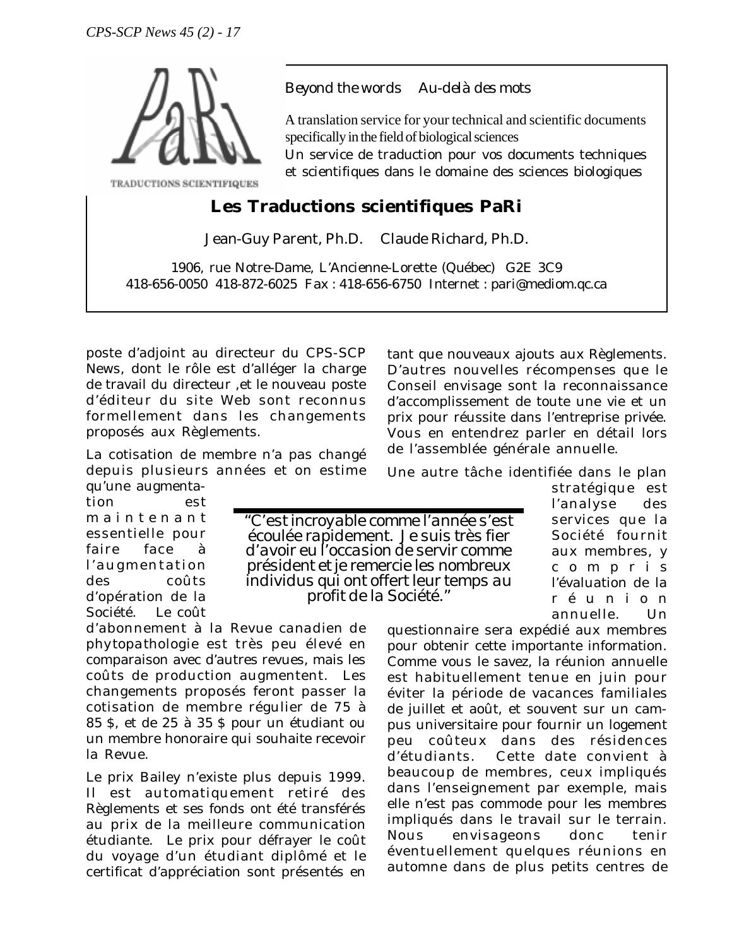

*Beyond the words Au-delà des mots*

A translation service for your technical and scientific documents specifically in the field of biological sciences

Un service de traduction pour vos documents techniques et scientifiques dans le domaine des sciences biologiques

# **Les Traductions scientifiques PaRi**

Jean-Guy Parent, Ph.D. Claude Richard, Ph.D.

1906, rue Notre-Dame, L'Ancienne-Lorette (Québec) G2E 3C9 418-656-0050 418-872-6025 Fax : 418-656-6750 Internet : pari@mediom.qc.ca

poste d'adjoint au directeur du CPS-SCP News, dont le rôle est d'alléger la charge de travail du directeur ,et le nouveau poste d'éditeur du site Web sont reconnus formellement dans les changements proposés aux Règlements.

La cotisation de membre n'a pas changé depuis plusieurs années et on estime qu'une augmenta-

tion est maintenant essentielle pour faire face à l'augmentation des coûts d'opération de la Société. Le coût

d'abonnement à la *Revue canadien de phytopathologie* est très peu élevé en comparaison avec d'autres revues, mais les coûts de production augmentent. Les changements proposés feront passer la cotisation de membre régulier de 75 à 85 \$, et de 25 à 35 \$ pour un étudiant ou un membre honoraire qui souhaite recevoir la Revue.

Le prix Bailey n'existe plus depuis 1999. Il est automatiquement retiré des Règlements et ses fonds ont été transférés au prix de la meilleure communication étudiante. Le prix pour défrayer le coût du voyage d'un étudiant diplômé et le certificat d'appréciation sont présentés en

tant que nouveaux ajouts aux Règlements. D'autres nouvelles récompenses que le Conseil envisage sont la reconnaissance d'accomplissement de toute une vie et un prix pour réussite dans l'entreprise privée. Vous en entendrez parler en détail lors de l'assemblée générale annuelle.

Une autre tâche identifiée dans le plan

*"C'est incroyable comme l'année s'est écoulée rapidement. Je suis très fier d'avoir eu l'occasion de servir comme président et je remercie les nombreux individus qui ont offert leur temps au profit de la Société."*

stratégique est l'analyse des services que la Société fournit aux membres, y compris l'évaluation de la réunion annuelle. Un

questionnaire sera expédié aux membres pour obtenir cette importante information. Comme vous le savez, la réunion annuelle est habituellement tenue en juin pour éviter la période de vacances familiales de juillet et août, et souvent sur un campus universitaire pour fournir un logement peu coûteux dans des résidences d'étudiants. Cette date convient à beaucoup de membres, ceux impliqués dans l'enseignement par exemple, mais elle n'est pas commode pour les membres impliqués dans le travail sur le terrain. Nous envisageons donc tenir éventuellement quelques réunions en automne dans de plus petits centres de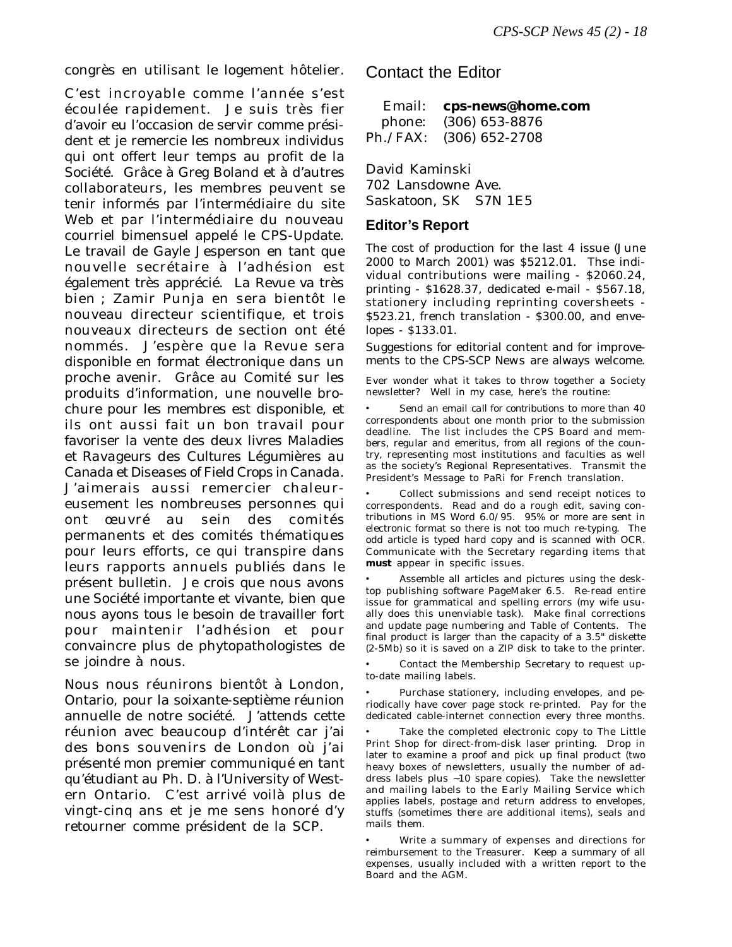congrès en utilisant le logement hôtelier.

C'est incroyable comme l'année s'est écoulée rapidement. Je suis très fier d'avoir eu l'occasion de servir comme président et je remercie les nombreux individus qui ont offert leur temps au profit de la Société. Grâce à Greg Boland et à d'autres collaborateurs, les membres peuvent se tenir informés par l'intermédiaire du site Web et par l'intermédiaire du nouveau courriel bimensuel appelé le CPS-Update. Le travail de Gayle Jesperson en tant que nouvelle secrétaire à l'adhésion est également très apprécié. La Revue va très bien ; Zamir Punja en sera bientôt le nouveau directeur scientifique, et trois nouveaux directeurs de section ont été nommés. J'espère que la Revue sera disponible en format électronique dans un proche avenir. Grâce au Comité sur les produits d'information, une nouvelle brochure pour les membres est disponible, et ils ont aussi fait un bon travail pour favoriser la vente des deux livres *Maladies et Ravageurs des Cultures Légumières au Canada* et *Diseases of Field Crops in Canada*. J'aimerais aussi remercier chaleureusement les nombreuses personnes qui ont œuvré au sein des comités permanents et des comités thématiques pour leurs efforts, ce qui transpire dans leurs rapports annuels publiés dans le présent bulletin. Je crois que nous avons une Société importante et vivante, bien que nous ayons tous le besoin de travailler fort pour maintenir l'adhésion et pour convaincre plus de phytopathologistes de se joindre à nous.

Nous nous réunirons bientôt à London, Ontario, pour la soixante-septième réunion annuelle de notre société. J'attends cette réunion avec beaucoup d'intérêt car j'ai des bons souvenirs de London où j'ai présenté mon premier communiqué en tant qu'étudiant au Ph. D. à l'University of Western Ontario. C'est arrivé voilà plus de vingt-cinq ans et je me sens honoré d'y retourner comme président de la SCP.

Contact the Editor

| Email: cps-news@home.com |
|--------------------------|
| phone: (306) 653-8876    |
| Ph./FAX: (306) 652-2708  |

David Kaminski 702 Lansdowne Ave. Saskatoon, SK S7N 1E5

#### **Editor's Report**

The cost of production for the last 4 issue (June 2000 to March 2001) was \$5212.01. Thse individual contributions were mailing - \$2060.24, printing - \$1628.37, dedicated e-mail - \$567.18, stationery including reprinting coversheets - \$523.21, french translation - \$300.00, and envelopes - \$133.01.

Suggestions for editorial content and for improvements to the *CPS-SCP News* are always welcome.

Ever wonder what it takes to throw together a Society newsletter? Well in my case, here's the routine:

• Send an email *call for contributions* to more than 40 correspondents about one month prior to the submission deadline. The list includes the CPS Board and members, regular and emeritus, from all regions of the country, representing most institutions and faculties as well as the society's Regional Representatives. Transmit the President's Message to PaRi for French translation.

• Collect submissions and send receipt notices to correspondents. Read and do a rough edit, saving contributions in MS Word 6.0/95. 95% or more are sent in electronic format so there is not too much re-typing. The odd article is typed hard copy and is scanned with OCR. Communicate with the Secretary regarding items that **must** appear in specific issues.

Assemble all articles and pictures using the desktop publishing software PageMaker 6.5. Re-read entire issue for grammatical and spelling errors (my wife usually does this unenviable task). Make final corrections and update page numbering and Table of Contents. The final product is larger than the capacity of a 3.5" diskette (2-5Mb) so it is saved on a ZIP disk to take to the printer.

• Contact the Membership Secretary to request upto-date mailing labels.

• Purchase stationery, including envelopes, and periodically have cover page stock re-printed. Pay for the dedicated cable-internet connection every three months.

Take the completed electronic copy to The Little Print Shop for direct-from-disk laser printing. Drop in later to examine a proof and pick up final product (two heavy boxes of newsletters, usually the number of address labels plus ~10 spare copies). Take the newsletter and mailing labels to the Early Mailing Service which applies labels, postage and return address to envelopes, stuffs (sometimes there are additional items), seals and mails them.

• Write a summary of expenses and directions for reimbursement to the Treasurer. Keep a summary of all expenses, usually included with a written report to the Board and the AGM.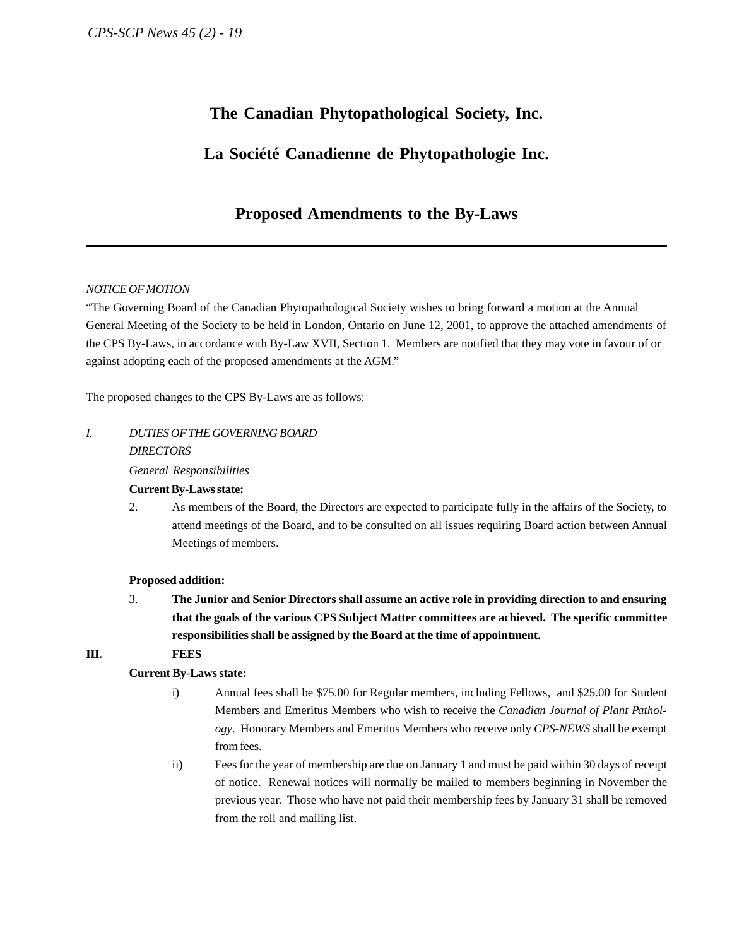# **The Canadian Phytopathological Society, Inc.**

# **La Société Canadienne de Phytopathologie Inc.**

# **Proposed Amendments to the By-Laws**

#### *NOTICE OF MOTION*

"The Governing Board of the Canadian Phytopathological Society wishes to bring forward a motion at the Annual General Meeting of the Society to be held in London, Ontario on June 12, 2001, to approve the attached amendments of the CPS By-Laws, in accordance with By-Law XVII, Section 1. Members are notified that they may vote in favour of or against adopting each of the proposed amendments at the AGM."

The proposed changes to the CPS By-Laws are as follows:

## *I. DUTIES OF THE GOVERNING BOARD*

#### *DIRECTORS*

*General Responsibilities*

#### **Current By-Laws state:**

2. As members of the Board, the Directors are expected to participate fully in the affairs of the Society, to attend meetings of the Board, and to be consulted on all issues requiring Board action between Annual Meetings of members.

#### **Proposed addition:**

3. **The Junior and Senior Directors shall assume an active role in providing direction to and ensuring that the goals of the various CPS Subject Matter committees are achieved. The specific committee responsibilities shall be assigned by the Board at the time of appointment.**

#### **III. FEES**

#### **Current By-Laws state:**

- i) Annual fees shall be \$75.00 for Regular members, including Fellows, and \$25.00 for Student Members and Emeritus Members who wish to receive the *Canadian Journal of Plant Pathology*. Honorary Members and Emeritus Members who receive only *CPS-NEWS* shall be exempt from fees.
- ii) Fees for the year of membership are due on January 1 and must be paid within 30 days of receipt of notice. Renewal notices will normally be mailed to members beginning in November the previous year. Those who have not paid their membership fees by January 31 shall be removed from the roll and mailing list.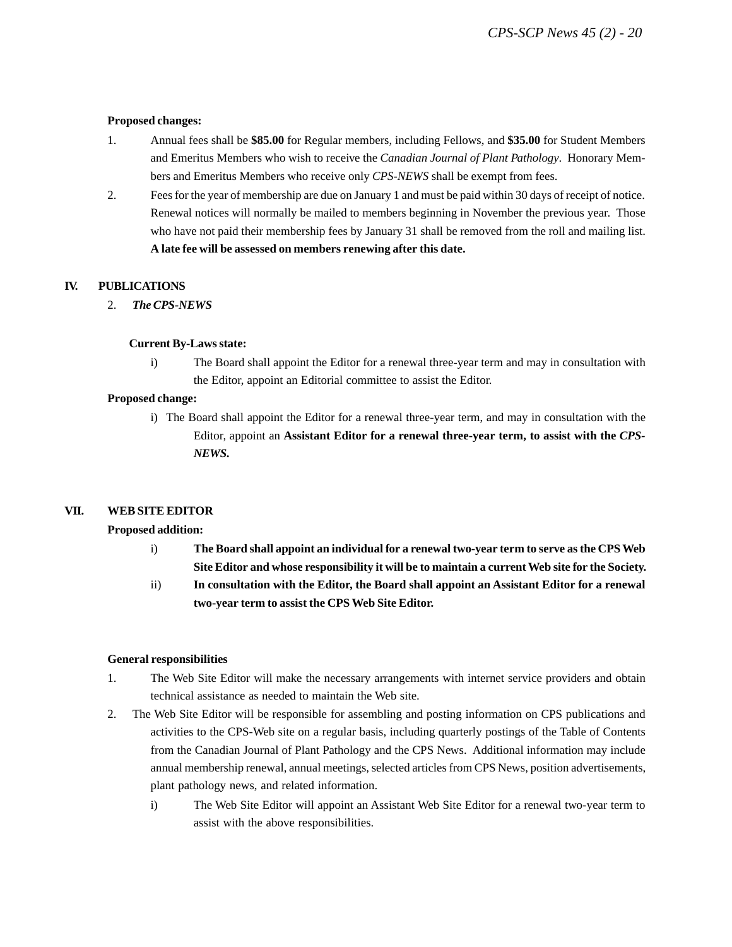#### **Proposed changes:**

- 1. Annual fees shall be **\$85.00** for Regular members, including Fellows, and **\$35.00** for Student Members and Emeritus Members who wish to receive the *Canadian Journal of Plant Pathology*. Honorary Members and Emeritus Members who receive only *CPS-NEWS* shall be exempt from fees.
- 2. Fees for the year of membership are due on January 1 and must be paid within 30 days of receipt of notice. Renewal notices will normally be mailed to members beginning in November the previous year. Those who have not paid their membership fees by January 31 shall be removed from the roll and mailing list. **A late fee will be assessed on members renewing after this date.**

#### **IV. PUBLICATIONS**

2. *The CPS-NEWS*

#### **Current By-Laws state:**

i) The Board shall appoint the Editor for a renewal three-year term and may in consultation with the Editor, appoint an Editorial committee to assist the Editor.

#### **Proposed change:**

i) The Board shall appoint the Editor for a renewal three-year term, and may in consultation with the Editor, appoint an **Assistant Editor for a renewal three-year term, to assist with the** *CPS-NEWS***.**

#### **VII. WEB SITE EDITOR**

#### **Proposed addition:**

- i) **The Board shall appoint an individual for a renewal two-year term to serve as the CPS Web Site Editor and whose responsibility it will be to maintain a current Web site for the Society.**
- ii) **In consultation with the Editor, the Board shall appoint an Assistant Editor for a renewal two-year term to assist the CPS Web Site Editor.**

#### **General responsibilities**

- 1. The Web Site Editor will make the necessary arrangements with internet service providers and obtain technical assistance as needed to maintain the Web site.
- 2. The Web Site Editor will be responsible for assembling and posting information on CPS publications and activities to the CPS-Web site on a regular basis, including quarterly postings of the Table of Contents from the Canadian Journal of Plant Pathology and the CPS News. Additional information may include annual membership renewal, annual meetings, selected articles from CPS News, position advertisements, plant pathology news, and related information.
	- i) The Web Site Editor will appoint an Assistant Web Site Editor for a renewal two-year term to assist with the above responsibilities.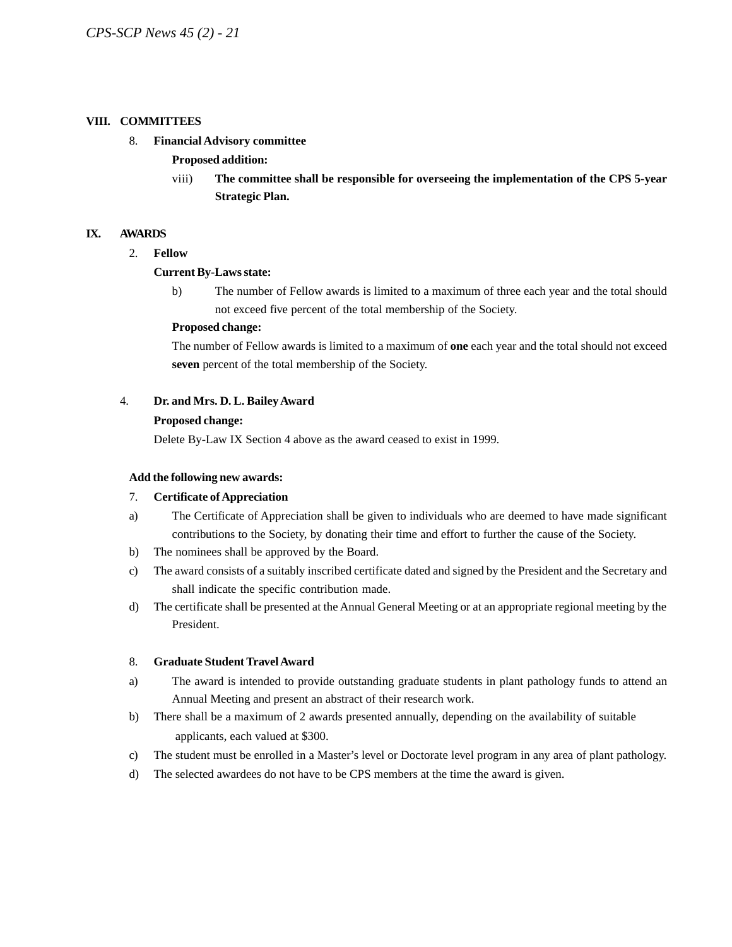#### **VIII. COMMITTEES**

#### 8. **Financial Advisory committee**

#### **Proposed addition:**

viii) **The committee shall be responsible for overseeing the implementation of the CPS 5-year Strategic Plan.**

#### **IX. AWARDS**

2. **Fellow**

#### **Current By-Laws state:**

b) The number of Fellow awards is limited to a maximum of three each year and the total should not exceed five percent of the total membership of the Society.

#### **Proposed change:**

The number of Fellow awards is limited to a maximum of **one** each year and the total should not exceed **seven** percent of the total membership of the Society.

#### 4. **Dr. and Mrs. D. L. Bailey Award**

#### **Proposed change:**

Delete By-Law IX Section 4 above as the award ceased to exist in 1999.

#### **Add the following new awards:**

#### 7. **Certificate of Appreciation**

- a) The Certificate of Appreciation shall be given to individuals who are deemed to have made significant contributions to the Society, by donating their time and effort to further the cause of the Society.
- b) The nominees shall be approved by the Board.
- c) The award consists of a suitably inscribed certificate dated and signed by the President and the Secretary and shall indicate the specific contribution made.
- d) The certificate shall be presented at the Annual General Meeting or at an appropriate regional meeting by the President.

#### 8. **Graduate Student Travel Award**

- a) The award is intended to provide outstanding graduate students in plant pathology funds to attend an Annual Meeting and present an abstract of their research work.
- b) There shall be a maximum of 2 awards presented annually, depending on the availability of suitable applicants, each valued at \$300.
- c) The student must be enrolled in a Master's level or Doctorate level program in any area of plant pathology.
- d) The selected awardees do not have to be CPS members at the time the award is given.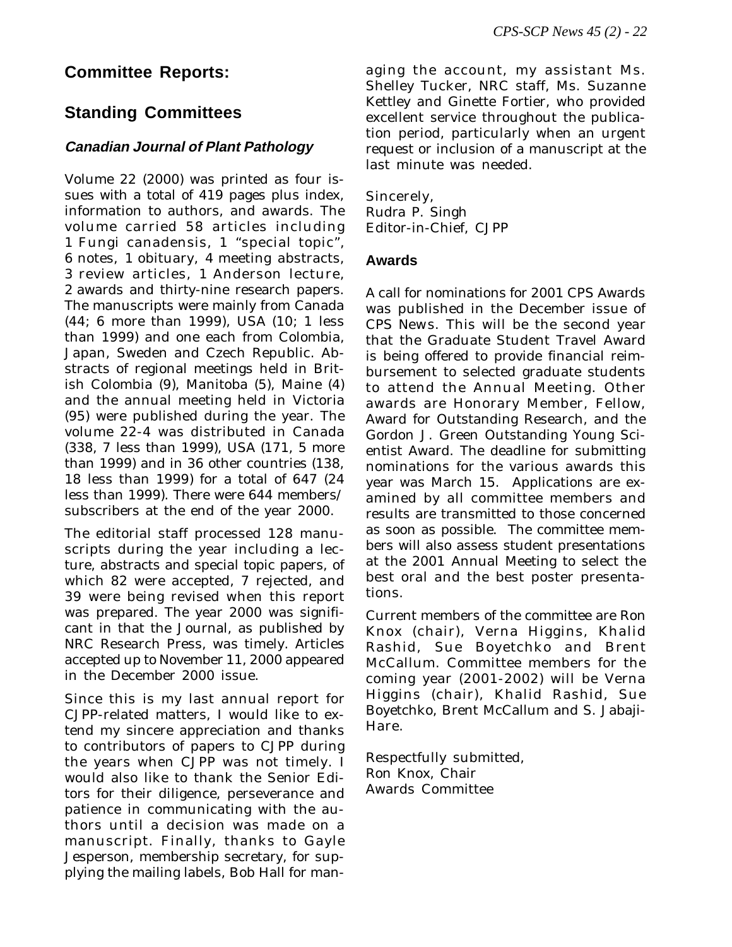# **Committee Reports:**

# **Standing Committees**

## **Canadian Journal of Plant Pathology**

Volume 22 (2000) was printed as four issues with a total of 419 pages plus index, information to authors, and awards. The volume carried 58 articles including 1 Fungi canadensis, 1 "special topic", 6 notes, 1 obituary, 4 meeting abstracts, 3 review articles, 1 Anderson lecture, 2 awards and thirty-nine research papers. The manuscripts were mainly from Canada (44; 6 more than 1999), USA (10; 1 less than 1999) and one each from Colombia, Japan, Sweden and Czech Republic. Abstracts of regional meetings held in British Colombia (9), Manitoba (5), Maine (4) and the annual meeting held in Victoria (95) were published during the year. The volume 22-4 was distributed in Canada (338, 7 less than 1999), USA (171, 5 more than 1999) and in 36 other countries (138, 18 less than 1999) for a total of 647 (24 less than 1999). There were 644 members/ subscribers at the end of the year 2000.

The editorial staff processed 128 manuscripts during the year including a lecture, abstracts and special topic papers, of which 82 were accepted, 7 rejected, and 39 were being revised when this report was prepared. The year 2000 was significant in that the Journal, as published by NRC Research Press, was timely. Articles accepted up to November 11, 2000 appeared in the December 2000 issue.

Since this is my last annual report for *CJPP*-related matters, I would like to extend my sincere appreciation and thanks to contributors of papers to *CJPP* during the years when *CJPP* was not timely. I would also like to thank the Senior Editors for their diligence, perseverance and patience in communicating with the authors until a decision was made on a manuscript. Finally, thanks to Gayle Jesperson, membership secretary, for supplying the mailing labels, Bob Hall for managing the account, my assistant Ms. Shelley Tucker, NRC staff, Ms. Suzanne Kettley and Ginette Fortier, who provided excellent service throughout the publication period, particularly when an urgent request or inclusion of a manuscript at the last minute was needed.

Sincerely, Rudra P. Singh Editor-in-Chief, *CJPP*

#### **Awards**

A call for nominations for 2001 CPS Awards was published in the December issue of *CPS New*s. This will be the second year that the Graduate Student Travel Award is being offered to provide financial reimbursement to selected graduate students to attend the Annual Meeting. Other awards are Honorary Member, Fellow, Award for Outstanding Research, and the Gordon J. Green Outstanding Young Scientist Award. The deadline for submitting nominations for the various awards this year was March 15. Applications are examined by all committee members and results are transmitted to those concerned as soon as possible. The committee members will also assess student presentations at the 2001 Annual Meeting to select the best oral and the best poster presentations.

Current members of the committee are Ron Knox (chair), Verna Higgins, Khalid Rashid, Sue Boyetchko and Brent McCallum. Committee members for the coming year (2001-2002) will be Verna Higgins (chair), Khalid Rashid, Sue Boyetchko, Brent McCallum and S. Jabaji-Hare.

Respectfully submitted, Ron Knox, Chair Awards Committee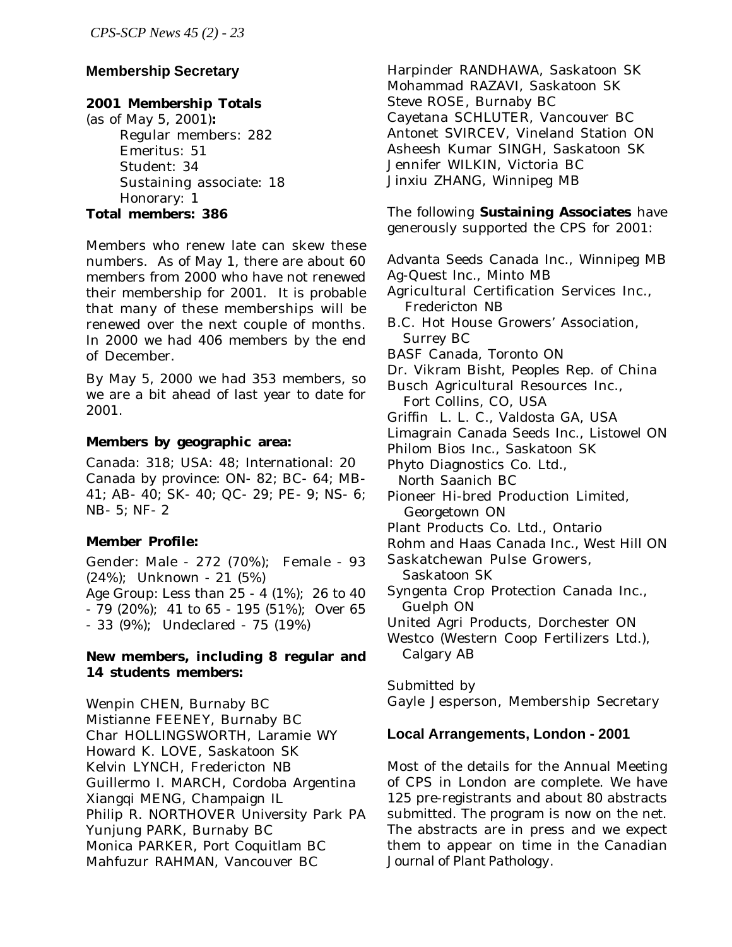## **Membership Secretary**

#### **2001 Membership Totals**

(as of May 5, 2001)**:** Regular members: 282 Emeritus: 51 Student: 34 Sustaining associate: 18 Honorary: 1 **Total members: 386**

Members who renew late can skew these numbers. As of May 1, there are about 60 members from 2000 who have not renewed their membership for 2001. It is probable that many of these memberships will be renewed over the next couple of months. In 2000 we had 406 members by the end of December.

By May 5, 2000 we had 353 members, so we are a bit ahead of last year to date for 2001.

#### **Members by geographic area:**

Canada: 318; USA: 48; International: 20 Canada by province: ON- 82; BC- 64; MB-41; AB- 40; SK- 40; QC- 29; PE- 9; NS- 6; NB- 5; NF- 2

## **Member Profile:**

Gender: Male - 272 (70%); Female - 93 (24%); Unknown - 21 (5%) Age Group: Less than 25 - 4 (1%); 26 to 40 - 79 (20%); 41 to 65 - 195 (51%); Over 65 - 33 (9%); Undeclared - 75 (19%)

#### **New members, including 8 regular and 14 students members:**

Wenpin CHEN, Burnaby BC Mistianne FEENEY, Burnaby BC Char HOLLINGSWORTH, Laramie WY Howard K. LOVE, Saskatoon SK Kelvin LYNCH, Fredericton NB Guillermo I. MARCH, Cordoba Argentina Xiangqi MENG, Champaign IL Philip R. NORTHOVER University Park PA Yunjung PARK, Burnaby BC Monica PARKER, Port Coquitlam BC Mahfuzur RAHMAN, Vancouver BC

Harpinder RANDHAWA, Saskatoon SK Mohammad RAZAVI, Saskatoon SK Steve ROSE, Burnaby BC Cayetana SCHLUTER, Vancouver BC Antonet SVIRCEV, Vineland Station ON Asheesh Kumar SINGH, Saskatoon SK Jennifer WILKIN, Victoria BC Jinxiu ZHANG, Winnipeg MB

The following **Sustaining Associates** have generously supported the CPS for 2001:

Advanta Seeds Canada Inc., Winnipeg MB

Ag-Quest Inc., Minto MB

- Agricultural Certification Services Inc., Fredericton NB
- B.C. Hot House Growers' Association, Surrey BC
- BASF Canada, Toronto ON
- Dr. Vikram Bisht, Peoples Rep. of China

Busch Agricultural Resources Inc., Fort Collins, CO, USA

Griffin L. L. C., Valdosta GA, USA

Limagrain Canada Seeds Inc., Listowel ON

Philom Bios Inc., Saskatoon SK

Phyto Diagnostics Co. Ltd., North Saanich BC

Pioneer Hi-bred Production Limited, Georgetown ON

- Plant Products Co. Ltd., Ontario
- Rohm and Haas Canada Inc., West Hill ON
- Saskatchewan Pulse Growers, Saskatoon SK
- Syngenta Crop Protection Canada Inc., Guelph ON
- United Agri Products, Dorchester ON
- Westco (Western Coop Fertilizers Ltd.), Calgary AB

Submitted by

Gayle Jesperson, Membership Secretary

#### **Local Arrangements, London - 2001**

Most of the details for the Annual Meeting of CPS in London are complete. We have 125 pre-registrants and about 80 abstracts submitted. The program is now on the net. The abstracts are in press and we expect them to appear on time in the *Canadian Journal of Plant Pathology*.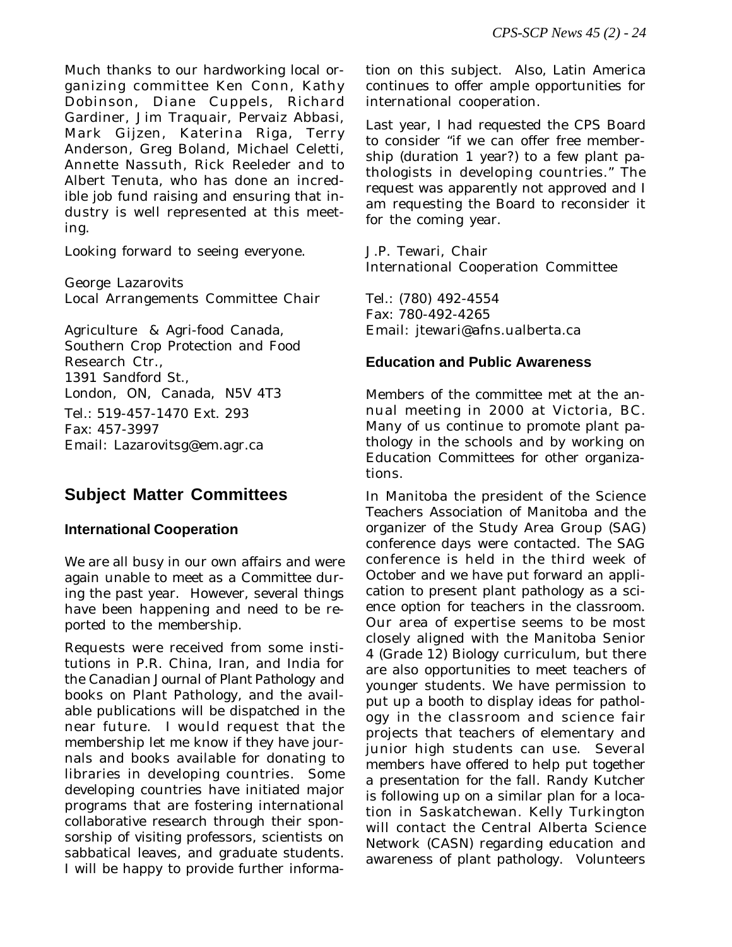Much thanks to our hardworking local organizing committee Ken Conn, Kathy Dobinson, Diane Cuppels, Richard Gardiner, Jim Traquair, Pervaiz Abbasi, Mark Gijzen, Katerina Riga, Terry Anderson, Greg Boland, Michael Celetti, Annette Nassuth, Rick Reeleder and to Albert Tenuta, who has done an incredible job fund raising and ensuring that industry is well represented at this meeting.

Looking forward to seeing everyone.

George Lazarovits Local Arrangements Committee Chair

Agriculture & Agri-food Canada, Southern Crop Protection and Food Research Ctr., 1391 Sandford St., London, ON, Canada, N5V 4T3 Tel.: 519-457-1470 Ext. 293 Fax: 457-3997 Email: Lazarovitsg@em.agr.ca

# **Subject Matter Committees**

## **International Cooperation**

We are all busy in our own affairs and were again unable to meet as a Committee during the past year. However, several things have been happening and need to be reported to the membership.

Requests were received from some institutions in P.R. China, Iran, and India for the *Canadian Journal of Plant Pathology* and books on Plant Pathology, and the available publications will be dispatched in the near future. I would request that the membership let me know if they have journals and books available for donating to libraries in developing countries. Some developing countries have initiated major programs that are fostering international collaborative research through their sponsorship of visiting professors, scientists on sabbatical leaves, and graduate students. I will be happy to provide further informa-

tion on this subject. Also, Latin America continues to offer ample opportunities for international cooperation.

Last year, I had requested the CPS Board to consider "if we can offer free membership (duration 1 year?) to a few plant pathologists in developing countries." The request was apparently not approved and I am requesting the Board to reconsider it for the coming year.

J.P. Tewari, Chair International Cooperation Committee

Tel.: (780) 492-4554 Fax: 780-492-4265 Email: jtewari@afns.ualberta.ca

## **Education and Public Awareness**

Members of the committee met at the annual meeting in 2000 at Victoria, BC. Many of us continue to promote plant pathology in the schools and by working on Education Committees for other organizations.

In Manitoba the president of the Science Teachers Association of Manitoba and the organizer of the Study Area Group (SAG) conference days were contacted. The SAG conference is held in the third week of October and we have put forward an application to present plant pathology as a science option for teachers in the classroom. Our area of expertise seems to be most closely aligned with the Manitoba Senior 4 (Grade 12) Biology curriculum, but there are also opportunities to meet teachers of younger students. We have permission to put up a booth to display ideas for pathology in the classroom and science fair projects that teachers of elementary and junior high students can use. Several members have offered to help put together a presentation for the fall. Randy Kutcher is following up on a similar plan for a location in Saskatchewan. Kelly Turkington will contact the Central Alberta Science Network (CASN) regarding education and awareness of plant pathology. Volunteers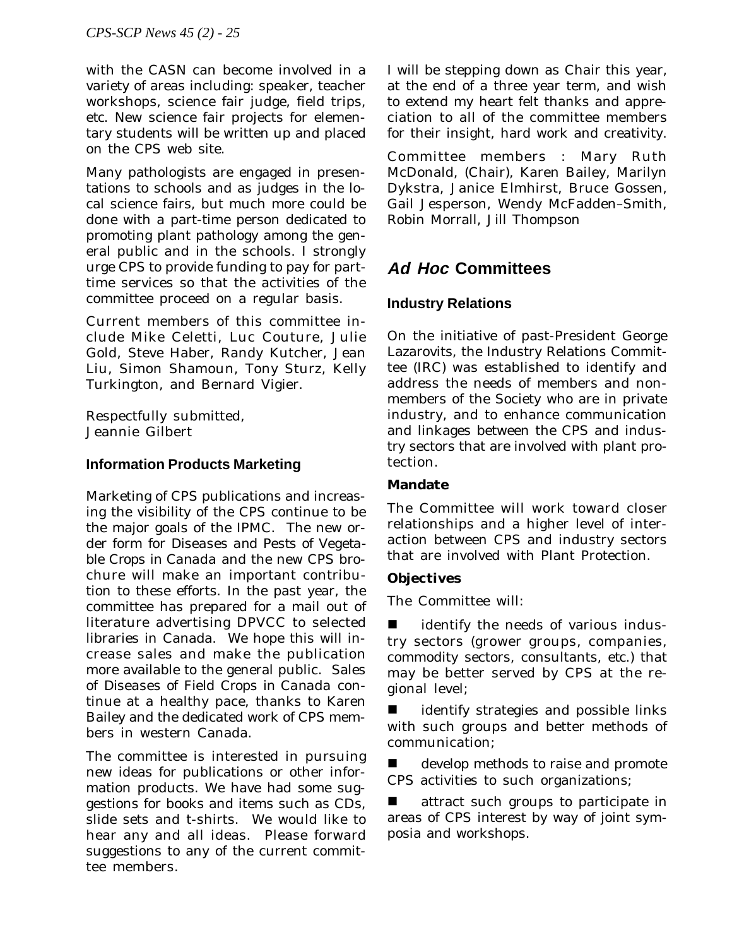with the CASN can become involved in a variety of areas including: speaker, teacher workshops, science fair judge, field trips, *etc*. New science fair projects for elementary students will be written up and placed on the CPS web site.

Many pathologists are engaged in presentations to schools and as judges in the local science fairs, but much more could be done with a part-time person dedicated to promoting plant pathology among the general public and in the schools. I strongly urge CPS to provide funding to pay for parttime services so that the activities of the committee proceed on a regular basis.

Current members of this committee include Mike Celetti, Luc Couture, Julie Gold, Steve Haber, Randy Kutcher, Jean Liu, Simon Shamoun, Tony Sturz, Kelly Turkington, and Bernard Vigier.

Respectfully submitted, Jeannie Gilbert

## **Information Products Marketing**

Marketing of CPS publications and increasing the visibility of the CPS continue to be the major goals of the IPMC. The new order form for *Diseases and Pests of Vegetable Crops in Canada* and the new CPS brochure will make an important contribution to these efforts. In the past year, the committee has prepared for a mail out of literature advertising DPVCC to selected libraries in Canada. We hope this will increase sales and make the publication more available to the general public. Sales of *Diseases of Field Crops in Canada* continue at a healthy pace, thanks to Karen Bailey and the dedicated work of CPS members in western Canada.

The committee is interested in pursuing new ideas for publications or other information products. We have had some suggestions for books and items such as CDs, slide sets and t-shirts. We would like to hear any and all ideas. Please forward suggestions to any of the current committee members.

I will be stepping down as Chair this year, at the end of a three year term, and wish to extend my heart felt thanks and appreciation to all of the committee members for their insight, hard work and creativity.

Committee members : Mary Ruth McDonald, (Chair), Karen Bailey, Marilyn Dykstra, Janice Elmhirst, Bruce Gossen, Gail Jesperson, Wendy McFadden–Smith, Robin Morrall, Jill Thompson

# **Ad Hoc Committees**

## **Industry Relations**

On the initiative of past-President George Lazarovits, the Industry Relations Committee (IRC) was established to identify and address the needs of members and nonmembers of the Society who are in private industry, and to enhance communication and linkages between the CPS and industry sectors that are involved with plant protection.

## **Mandate**

The Committee will work toward closer relationships and a higher level of interaction between CPS and industry sectors that are involved with Plant Protection.

## **Objectives**

The Committee will:

identify the needs of various industry sectors (grower groups, companies, commodity sectors, consultants, *etc*.) that may be better served by CPS at the regional level;

identify strategies and possible links with such groups and better methods of communication;

develop methods to raise and promote CPS activities to such organizations;

attract such groups to participate in areas of CPS interest by way of joint symposia and workshops.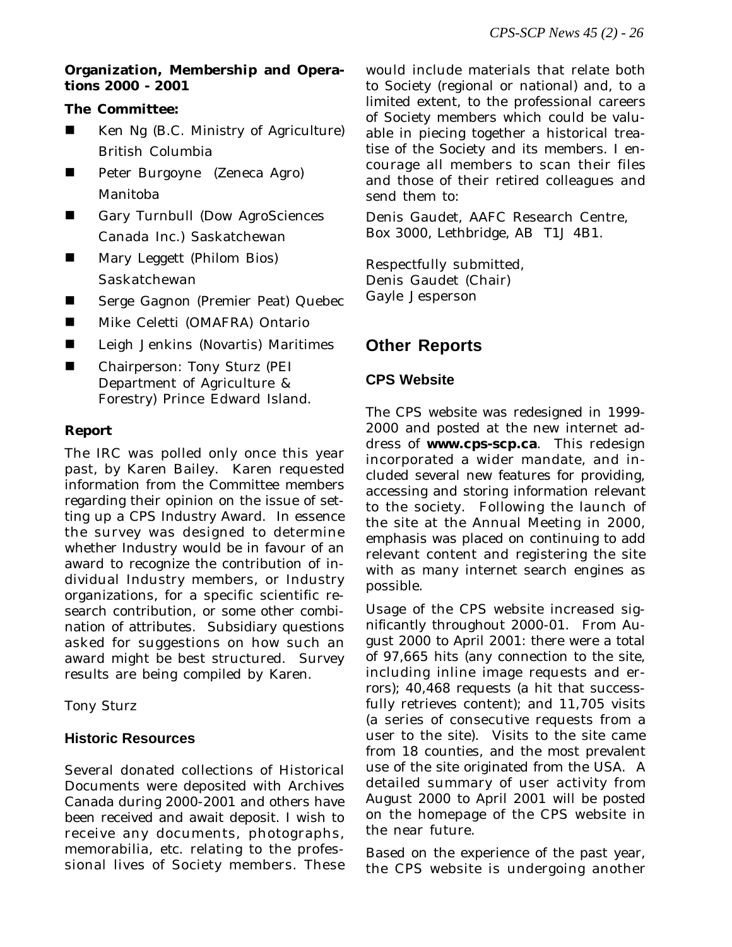#### **Organization, Membership and Operations 2000 - 2001**

## **The Committee:**

- Ken Ng (B.C. Ministry of Agriculture) British Columbia
- **n** Peter Burgoyne (Zeneca Agro) Manitoba
- n Gary Turnbull (Dow AgroSciences Canada Inc.) Saskatchewan
- Mary Leggett (Philom Bios) Saskatchewan
- Serge Gagnon (Premier Peat) Quebec
- Mike Celetti (OMAFRA) Ontario
- Leigh Jenkins (Novartis) Maritimes
- Chairperson: Tony Sturz (PEI Department of Agriculture & Forestry) Prince Edward Island.

## **Report**

The IRC was polled only once this year past, by Karen Bailey. Karen requested information from the Committee members regarding their opinion on the issue of setting up a CPS Industry Award. In essence the survey was designed to determine whether Industry would be in favour of an award to recognize the contribution of individual Industry members, or Industry organizations, for a specific scientific research contribution, or some other combination of attributes. Subsidiary questions asked for suggestions on how such an award might be best structured. Survey results are being compiled by Karen.

Tony Sturz

## **Historic Resources**

Several donated collections of Historical Documents were deposited with Archives Canada during 2000-2001 and others have been received and await deposit. I wish to receive any documents, photographs, memorabilia, *etc*. relating to the professional lives of Society members. These would include materials that relate both to Society (regional or national) and, to a limited extent, to the professional careers of Society members which could be valuable in piecing together a historical treatise of the Society and its members. I encourage all members to scan their files and those of their retired colleagues and send them to:

Denis Gaudet, AAFC Research Centre, Box 3000, Lethbridge, AB T1J 4B1.

Respectfully submitted, Denis Gaudet (Chair) Gayle Jesperson

# **Other Reports**

## **CPS Website**

The CPS website was redesigned in 1999- 2000 and posted at the new internet address of **www.cps-scp.ca**. This redesign incorporated a wider mandate, and included several new features for providing, accessing and storing information relevant to the society. Following the launch of the site at the Annual Meeting in 2000, emphasis was placed on continuing to add relevant content and registering the site with as many internet search engines as possible.

Usage of the CPS website increased significantly throughout 2000-01. From August 2000 to April 2001: there were a total of 97,665 hits (any connection to the site, including inline image requests and errors); 40,468 requests (a hit that successfully retrieves content); and 11,705 visits (a series of consecutive requests from a user to the site). Visits to the site came from 18 counties, and the most prevalent use of the site originated from the USA. A detailed summary of user activity from August 2000 to April 2001 will be posted on the homepage of the CPS website in the near future.

Based on the experience of the past year, the CPS website is undergoing another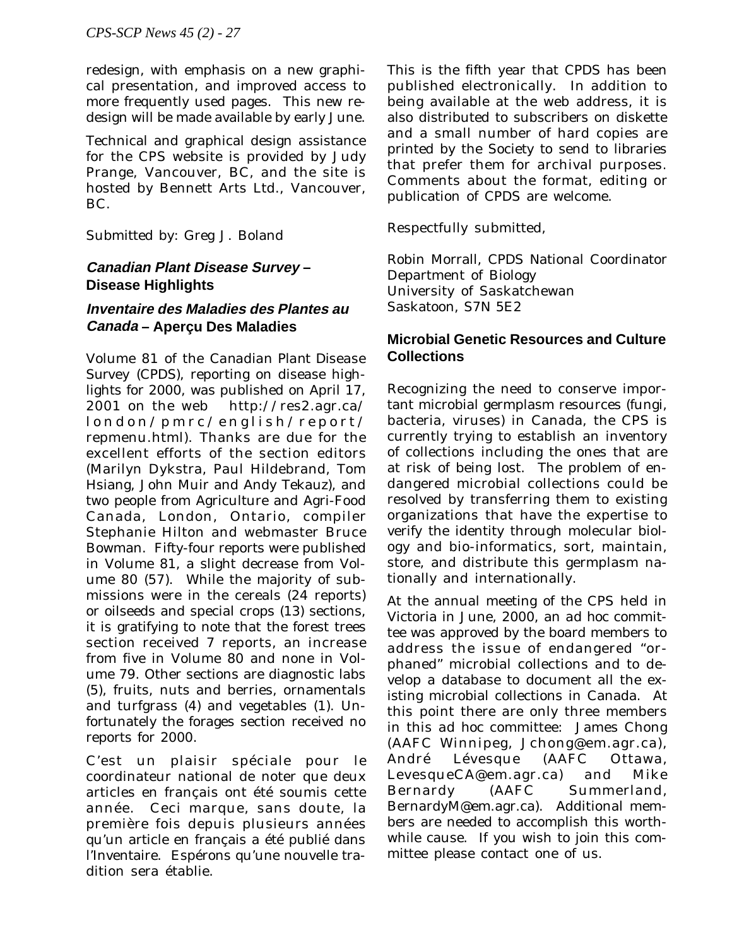redesign, with emphasis on a new graphical presentation, and improved access to more frequently used pages. This new redesign will be made available by early June.

Technical and graphical design assistance for the CPS website is provided by Judy Prange, Vancouver, BC, and the site is hosted by Bennett Arts Ltd., Vancouver, BC.

Submitted by: Greg J. Boland

# **Canadian Plant Disease Survey – Disease Highlights**

# **Inventaire des Maladies des Plantes au Canada – Aperçu Des Maladies**

Volume 81 of the *Canadian Plant Disease Survey* (*CPDS*), reporting on disease highlights for 2000, was published on April 17, 2001 on the web http://res2.agr.ca/ london/pmrc/english/report/ repmenu.html). Thanks are due for the excellent efforts of the section editors (Marilyn Dykstra, Paul Hildebrand, Tom Hsiang, John Muir and Andy Tekauz), and two people from Agriculture and Agri-Food Canada, London, Ontario, compiler Stephanie Hilton and webmaster Bruce Bowman. Fifty-four reports were published in Volume 81, a slight decrease from Volume 80 (57). While the majority of submissions were in the cereals (24 reports) or oilseeds and special crops (13) sections, it is gratifying to note that the forest trees section received 7 reports, an increase from five in Volume 80 and none in Volume 79. Other sections are diagnostic labs (5), fruits, nuts and berries, ornamentals and turfgrass (4) and vegetables (1). Unfortunately the forages section received no reports for 2000.

C'est un plaisir spéciale pour le coordinateur national de noter que deux articles en français ont été soumis cette année. Ceci marque, sans doute, la première fois depuis plusieurs années qu'un article en français a été publié dans l'Inventaire. Espérons qu'une nouvelle tradition sera établie.

This is the fifth year that *CPDS* has been published electronically. In addition to being available at the web address, it is also distributed to subscribers on diskette and a small number of hard copies are printed by the Society to send to libraries that prefer them for archival purposes. Comments about the format, editing or publication of *CPDS* are welcome.

Respectfully submitted,

Robin Morrall, *CPDS* National Coordinator Department of Biology University of Saskatchewan Saskatoon, S7N 5E2

## **Microbial Genetic Resources and Culture Collections**

Recognizing the need to conserve important microbial germplasm resources (fungi, bacteria, viruses) in Canada, the CPS is currently trying to establish an inventory of collections including the ones that are at risk of being lost. The problem of endangered microbial collections could be resolved by transferring them to existing organizations that have the expertise to verify the identity through molecular biology and bio-informatics, sort, maintain, store, and distribute this germplasm nationally and internationally.

At the annual meeting of the CPS held in Victoria in June, 2000, an *ad hoc* committee was approved by the board members to address the issue of endangered "orphaned" microbial collections and to develop a database to document all the existing microbial collections in Canada. At this point there are only three members in this *ad hoc* committee: James Chong (AAFC Winnipeg, Jchong@em.agr.ca), André Lévesque (AAFC Ottawa, LevesqueCA@em.agr.ca) and Mike Bernardy (AAFC Summerland, BernardyM@em.agr.ca). Additional members are needed to accomplish this worthwhile cause. If you wish to join this committee please contact one of us.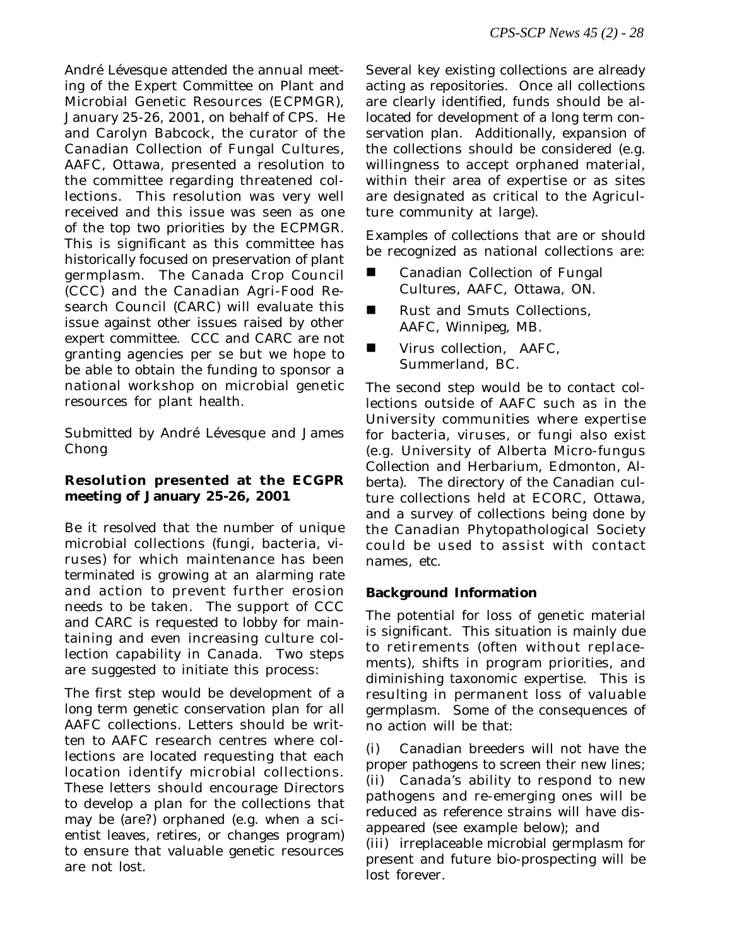André Lévesque attended the annual meeting of the Expert Committee on Plant and Microbial Genetic Resources (ECPMGR), January 25-26, 2001, on behalf of CPS. He and Carolyn Babcock, the curator of the Canadian Collection of Fungal Cultures, AAFC, Ottawa, presented a resolution to the committee regarding threatened collections. This resolution was very well received and this issue was seen as one of the top two priorities by the ECPMGR. This is significant as this committee has historically focused on preservation of plant germplasm. The Canada Crop Council (CCC) and the Canadian Agri-Food Research Council (CARC) will evaluate this issue against other issues raised by other expert committee. CCC and CARC are not granting agencies per se but we hope to be able to obtain the funding to sponsor a national workshop on microbial genetic resources for plant health.

Submitted by André Lévesque and James Chong

## **Resolution presented at the ECGPR meeting of January 25-26, 2001**

Be it resolved that the number of unique microbial collections (fungi, bacteria, viruses) for which maintenance has been terminated is growing at an alarming rate and action to prevent further erosion needs to be taken. The support of CCC and CARC is requested to lobby for maintaining and even increasing culture collection capability in Canada. Two steps are suggested to initiate this process:

The first step would be development of a long term genetic conservation plan for all AAFC collections. Letters should be written to AAFC research centres where collections are located requesting that each location identify microbial collections. These letters should encourage Directors to develop a plan for the collections that may be (are?) orphaned (*e.g.* when a scientist leaves, retires, or changes program) to ensure that valuable genetic resources are not lost.

Several key existing collections are already acting as repositories. Once all collections are clearly identified, funds should be allocated for development of a long term conservation plan. Additionally, expansion of the collections should be considered (*e.g.* willingness to accept orphaned material, within their area of expertise or as sites are designated as critical to the Agriculture community at large).

Examples of collections that are or should be recognized as national collections are:

- Canadian Collection of Fungal Cultures, AAFC, Ottawa, ON.
- Rust and Smuts Collections, AAFC, Winnipeg, MB.
- Virus collection, AAFC, Summerland, BC.

The second step would be to contact collections outside of AAFC such as in the University communities where expertise for bacteria, viruses, or fungi also exist (*e.g.* University of Alberta Micro-fungus Collection and Herbarium, Edmonton, Alberta). The directory of the Canadian culture collections held at ECORC, Ottawa, and a survey of collections being done by the Canadian Phytopathological Society could be used to assist with contact names, *etc*.

## **Background Information**

The potential for loss of genetic material is significant. This situation is mainly due to retirements (often without replacements), shifts in program priorities, and diminishing taxonomic expertise. This is resulting in permanent loss of valuable germplasm. Some of the consequences of no action will be that:

(i) Canadian breeders will not have the proper pathogens to screen their new lines; (ii) Canada's ability to respond to new pathogens and re-emerging ones will be reduced as reference strains will have disappeared (see example below); and

(iii) irreplaceable microbial germplasm for present and future bio-prospecting will be lost forever.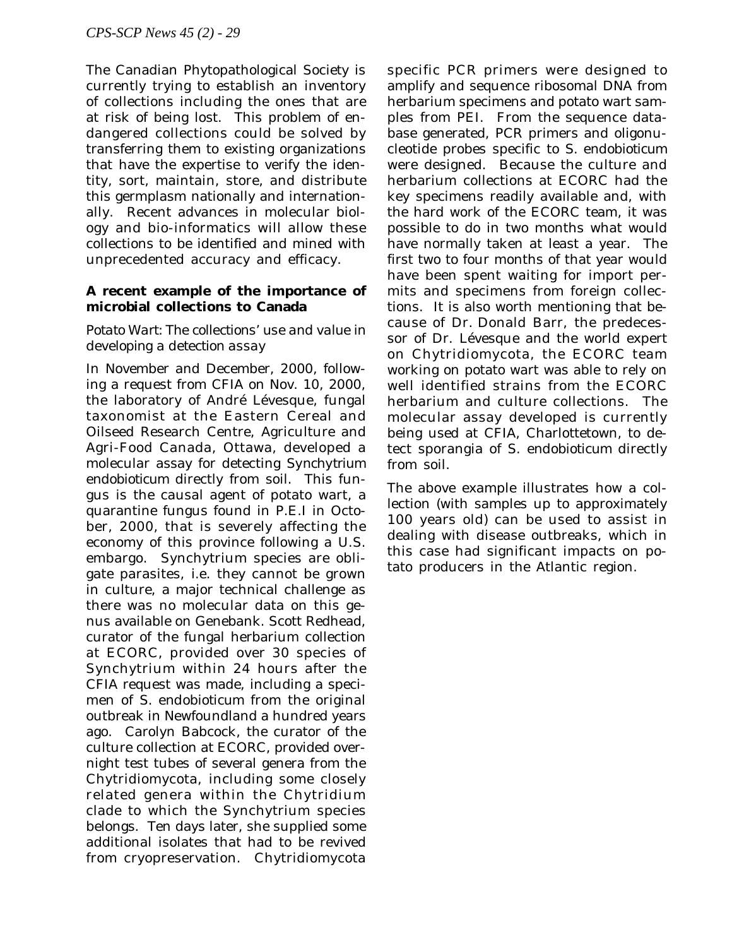The Canadian Phytopathological Society is currently trying to establish an inventory of collections including the ones that are at risk of being lost. This problem of endangered collections could be solved by transferring them to existing organizations that have the expertise to verify the identity, sort, maintain, store, and distribute this germplasm nationally and internationally. Recent advances in molecular biology and bio-informatics will allow these collections to be identified and mined with unprecedented accuracy and efficacy.

#### **A recent example of the importance of microbial collections to Canada**

#### *Potato Wart: The collections' use and value in developing a detection assay*

In November and December, 2000, following a request from CFIA on Nov. 10, 2000, the laboratory of André Lévesque, fungal taxonomist at the Eastern Cereal and Oilseed Research Centre, Agriculture and Agri-Food Canada, Ottawa, developed a molecular assay for detecting *Synchytrium endobioticum* directly from soil. This fungus is the causal agent of potato wart, a quarantine fungus found in P.E.I in October, 2000, that is severely affecting the economy of this province following a U.S. embargo. Synchytrium species are obligate parasites, *i.e.* they cannot be grown in culture, a major technical challenge as there was no molecular data on this genus available on Genebank. Scott Redhead, curator of the fungal herbarium collection at ECORC, provided over 30 species of Synchytrium within 24 hours after the CFIA request was made, including a specimen of *S. endobioticum* from the original outbreak in Newfoundland a hundred years ago. Carolyn Babcock, the curator of the culture collection at ECORC, provided overnight test tubes of several genera from the Chytridiomycota, including some closely related genera within the Chytridium clade to which the Synchytrium species belongs. Ten days later, she supplied some additional isolates that had to be revived from cryopreservation. Chytridiomycota

specific PCR primers were designed to amplify and sequence ribosomal DNA from herbarium specimens and potato wart samples from PEI. From the sequence database generated, PCR primers and oligonucleotide probes specific to *S. endobioticum* were designed. Because the culture and herbarium collections at ECORC had the key specimens readily available and, with the hard work of the ECORC team, it was possible to do in two months what would have normally taken at least a year. The first two to four months of that year would have been spent waiting for import permits and specimens from foreign collections. It is also worth mentioning that because of Dr. Donald Barr, the predecessor of Dr. Lévesque and the world expert on Chytridiomycota, the ECORC team working on potato wart was able to rely on well identified strains from the ECORC herbarium and culture collections. The molecular assay developed is currently being used at CFIA, Charlottetown, to detect sporangia of *S. endobioticum* directly from soil.

The above example illustrates how a collection (with samples up to approximately 100 years old) can be used to assist in dealing with disease outbreaks, which in this case had significant impacts on potato producers in the Atlantic region.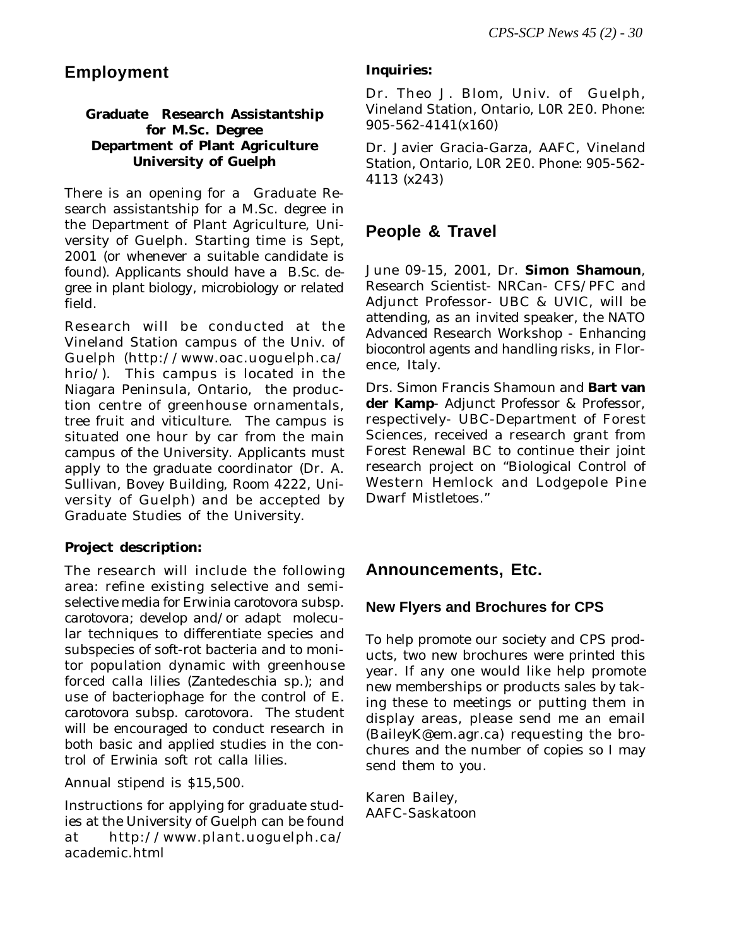# **Employment**

## **Graduate Research Assistantship for M.Sc. Degree Department of Plant Agriculture University of Guelph**

There is an opening for aGraduate Research assistantship for a M.Sc. degree in the Department of Plant Agriculture, University of Guelph. Starting time is Sept, 2001 (or whenever a suitable candidate is found). *Applicants should have a B.Sc. degree in plant biology, microbiology or related field*.

Research will be conducted at the Vineland Station campus of the Univ. of Guelph (http://www.oac.uoguelph.ca/ hrio/). This campus is located in the Niagara Peninsula, Ontario, the production centre of greenhouse ornamentals, tree fruit and viticulture. The campus is situated one hour by car from the main campus of the University. Applicants must apply to the graduate coordinator (Dr. A. Sullivan, Bovey Building, Room 4222, University of Guelph) and be accepted by Graduate Studies of the University.

## **Project description:**

The research will include the following area: refine existing selective and semiselective media for *Erwinia carotovora* subsp. *carotovora*; develop and/or adapt molecular techniques to differentiate species and subspecies of soft-rot bacteria and to monitor population dynamic with greenhouse forced calla lilies (*Zantedeschia* sp.); and use of bacteriophage for the control of *E. carotovora* subsp. *carotovora.* The student will be encouraged to conduct research in both basic and applied studies in the control of *Erwinia* soft rot calla lilies.

Annual stipend is \$15,500.

Instructions for applying for graduate studies at the University of Guelph can be found at http://www.plant.uoguelph.ca/ academic.html

## **Inquiries:**

Dr. Theo J. Blom, Univ. of Guelph, Vineland Station, Ontario, L0R 2E0. Phone: 905-562-4141(x160)

Dr. Javier Gracia-Garza, AAFC, Vineland Station, Ontario, L0R 2E0. Phone: 905-562- 4113 (x243)

# **People & Travel**

June 09-15, 2001, Dr. **Simon Shamoun**, Research Scientist- NRCan- CFS/PFC and Adjunct Professor- UBC & UVIC, will be attending, as an invited speaker, the NATO Advanced Research Workshop - *Enhancing biocontrol agents and handling risks*, in Florence, Italy.

Drs. Simon Francis Shamoun and **Bart van der Kamp**- Adjunct Professor & Professor, respectively- UBC-Department of Forest Sciences, received a research grant from Forest Renewal BC to continue their joint research project on "Biological Control of Western Hemlock and Lodgepole Pine Dwarf Mistletoes."

# **Announcements, Etc.**

## **New Flyers and Brochures for CPS**

To help promote our society and CPS products, two new brochures were printed this year. If any one would like help promote new memberships or products sales by taking these to meetings or putting them in display areas, please send me an email (BaileyK@em.agr.ca) requesting the brochures and the number of copies so I may send them to you.

Karen Bailey, AAFC-Saskatoon